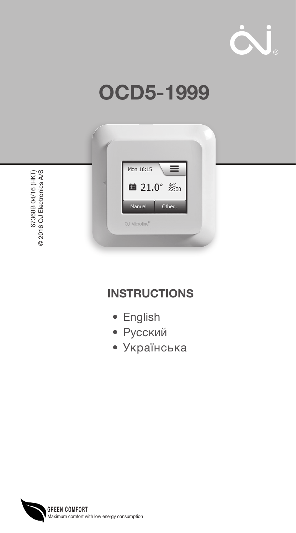

# OCD5-1999



67368B 04/16 (HKT)<br>2016 OJ Electronics A/S 67368B 04/16 (HKT) © 2016 OJ Electronics A/S

## **INSTRUCTIONS**

- English
- Русский
- Українська

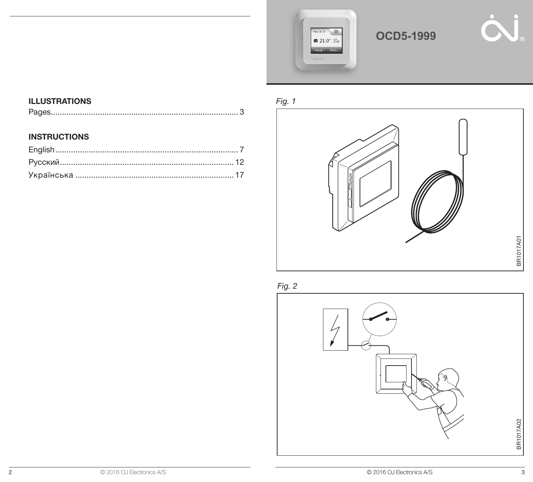

## **OCD5-1999**



### ILLUSTRATIONS

|--|--|

#### **INSTRUCTIONS**





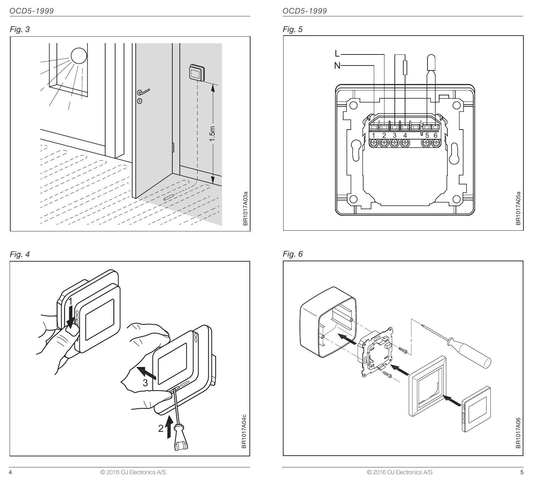

Fig. 4



OCD5-1999 OCD5-1999





Fig. 6

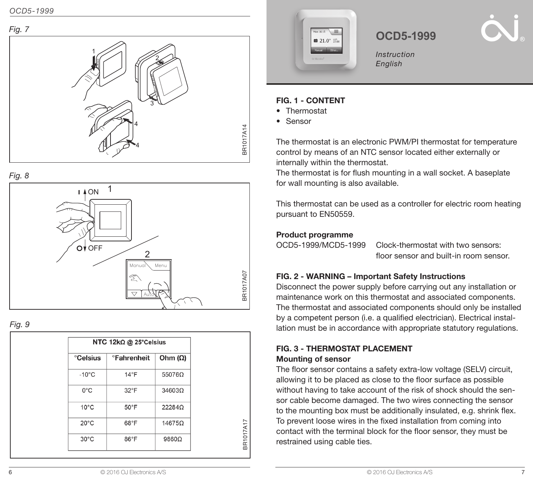





Fig. 9

| NTC 12k $\Omega$ @ 25°Celsius |                                 |                |
|-------------------------------|---------------------------------|----------------|
| <b>Celsius</b>                | <b><i><u>Pahrenheit</u></i></b> | Ohm $(\Omega)$ |
| $-10^{\circ}$ C               | $14^{\circ}F$                   | 550760         |
| $0^{\circ}$ C                 | $32^{\circ}$ F                  | 34603Ω         |
| $10^{\circ}$ C                | 50°F                            | 22284Ω         |
| $20^{\circ}$ C                | 68°F                            | 14675Ω         |
| $30^{\circ}$ C                | 86°F                            | 98600          |

BR1017A17

BR1017A17



## **OCD5-1999**

Instruction English

## FIG. 1 - CONTENT

- Thermostat
- Sensor

The thermostat is an electronic PWM/PI thermostat for temperature control by means of an NTC sensor located either externally or internally within the thermostat.

The thermostat is for flush mounting in a wall socket. A baseplate for wall mounting is also available.

This thermostat can be used as a controller for electric room heating pursuant to EN50559.

#### Product programme

| OCD5-1999/MCD5-1999 |  |  |
|---------------------|--|--|
|                     |  |  |

Clock-thermostat with two sensors: floor sensor and built-in room sensor.

## FIG. 2 - WARNING – Important Safety Instructions

Disconnect the power supply before carrying out any installation or maintenance work on this thermostat and associated components. The thermostat and associated components should only be installed by a competent person (i.e. a qualified electrician). Electrical installation must be in accordance with appropriate statutory regulations.

#### FIG. 3 - THERMOSTAT PLACEMENT Mounting of sensor

The floor sensor contains a safety extra-low voltage (SELV) circuit, allowing it to be placed as close to the floor surface as possible without having to take account of the risk of shock should the sensor cable become damaged. The two wires connecting the sensor to the mounting box must be additionally insulated, e.g. shrink flex. To prevent loose wires in the fixed installation from coming into contact with the terminal block for the floor sensor, they must be restrained using cable ties.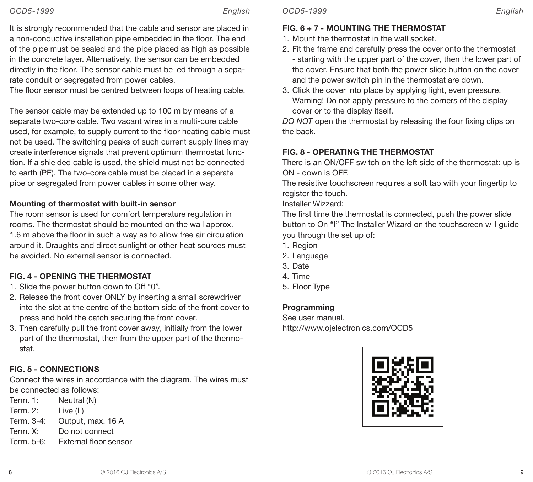It is strongly recommended that the cable and sensor are placed in a non-conductive installation pipe embedded in the floor. The end of the pipe must be sealed and the pipe placed as high as possible in the concrete layer. Alternatively, the sensor can be embedded directly in the floor. The sensor cable must be led through a separate conduit or segregated from power cables.

The floor sensor must be centred between loops of heating cable.

The sensor cable may be extended up to 100 m by means of a separate two-core cable. Two vacant wires in a multi-core cable used, for example, to supply current to the floor heating cable must not be used. The switching peaks of such current supply lines may create interference signals that prevent optimum thermostat function. If a shielded cable is used, the shield must not be connected to earth (PE). The two-core cable must be placed in a separate pipe or segregated from power cables in some other way.

## Mounting of thermostat with built-in sensor

The room sensor is used for comfort temperature regulation in rooms. The thermostat should be mounted on the wall approx. 1.6 m above the floor in such a way as to allow free air circulation around it. Draughts and direct sunlight or other heat sources must be avoided. No external sensor is connected.

## FIG. 4 - OPENING THE THERMOSTAT

- 1. Slide the power button down to Off "0".
- 2. Release the front cover ONLY by inserting a small screwdriver into the slot at the centre of the bottom side of the front cover to press and hold the catch securing the front cover.
- 3. Then carefully pull the front cover away, initially from the lower part of the thermostat, then from the upper part of the thermostat.

## FIG. 5 - CONNECTIONS

Connect the wires in accordance with the diagram. The wires must be connected as follows:

- Term. 1: Neutral (N)
- Term. 2: Live (L)
- Term. 3-4: Output, max. 16 A
- Term. X: Do not connect
- Term. 5-6: External floor sensor

## FIG. 6 + 7 - MOUNTING THE THERMOSTAT

- 1. Mount the thermostat in the wall socket.
- 2. Fit the frame and carefully press the cover onto the thermostat - starting with the upper part of the cover, then the lower part of the cover. Ensure that both the power slide button on the cover and the power switch pin in the thermostat are down.
- 3. Click the cover into place by applying light, even pressure. Warning! Do not apply pressure to the corners of the display cover or to the display itself.

DO NOT open the thermostat by releasing the four fixing clips on the back.

## FIG. 8 - OPERATING THE THERMOSTAT

There is an ON/OFF switch on the left side of the thermostat: up is ON - down is OFF.

The resistive touchscreen requires a soft tap with your fingertip to register the touch.

Installer Wizzard:

The first time the thermostat is connected, push the power slide button to On "I" The Installer Wizard on the touchscreen will guide you through the set up of:

- 1. Region
- 2. Language
- 3. Date
- 4. Time
- 5. Floor Type

## **Programming**

See user manual. http://www.ojelectronics.com/OCD5

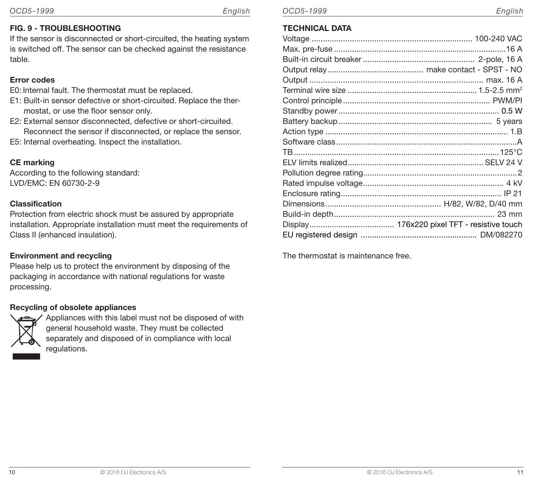#### FIG. 9 - TROUBLESHOOTING

If the sensor is disconnected or short-circuited, the heating system is switched off. The sensor can be checked against the resistance table.

### Error codes

- E0: Internal fault. The thermostat must be replaced.
- E1: Built-in sensor defective or short-circuited. Replace the thermostat, or use the floor sensor only.
- E2: External sensor disconnected, defective or short-circuited. Reconnect the sensor if disconnected, or replace the sensor.
- E5: Internal overheating. Inspect the installation.

### CE marking

According to the following standard: LVD/EMC: EN 60730-2-9

#### Classification

Protection from electric shock must be assured by appropriate installation. Appropriate installation must meet the requirements of Class II (enhanced insulation).

#### Environment and recycling

Please help us to protect the environment by disposing of the packaging in accordance with national regulations for waste processing.

#### Recycling of obsolete appliances



Appliances with this label must not be disposed of with general household waste. They must be collected separately and disposed of in compliance with local regulations.

## TECHNICAL DATA

The thermostat is maintenance free.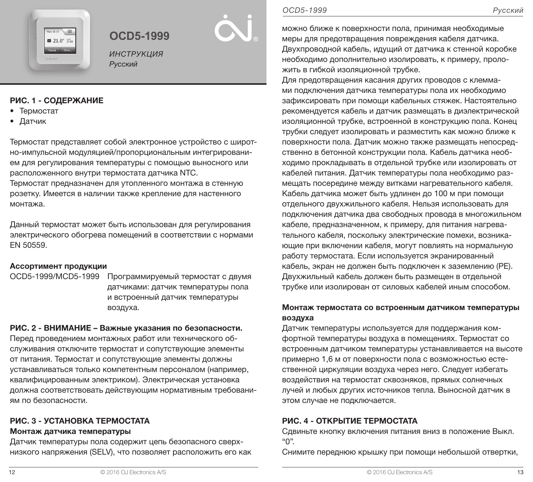

## **OCD5-1999**

ИНСТРУКЦИЯ Русский

#### РИС. 1 - СОДЕРЖАНИЕ

- Термостат
- Датчик

Термостат представляет собой электронное устройство с широтно-импульсной модуляцией/пропорциональным интегрированием для регулирования температуры с помощью выносного или расположенного внутри термостата датчика NTC.

Термостат предназначен для утопленного монтажа в стенную розетку. Имеется в наличии также крепление для настенного монтажа.

Данный термостат может быть использован для регулирования электрического обогрева помещений в соответствии с нормами EN 50559.

#### Ассортимент продукции

OCD5-1999/MCD5-1999 Программируемый термостат с двумя датчиками: датчик температуры пола и встроенный датчик температуры воздуха.

## РИС. 2 - ВНИМАНИЕ – Важные указания по безопасности.

Перед проведением монтажных работ или технического обслуживания отключите термостат и сопутствующие элементы от питания. Термостат и сопутствующие элементы должны устанавливаться только компетентным персоналом (например, квалифицированным электриком). Электрическая установка должна соответствовать действующим нормативным требованиям по безопасности.

## РИС. 3 - УСТАНОВКА ТЕРМОСТАТА

## Монтаж датчика температуры

Датчик температуры пола содержит цепь безопасного сверхнизкого напряжения (SELV), что позволяет расположить его как

можно ближе к поверхности пола, принимая необходимые меры для предотвращения повреждения кабеля датчика. Двухпроводной кабель, идущий от датчика к стенной коробке необходимо дополнительно изолировать, к примеру, проложить в гибкой изоляционной трубке.

Для предотвращения касания других проводов с клеммами подключения датчика температуры пола их необходимо зафиксировать при помощи кабельных стяжек. Настоятельно рекомендуется кабель и датчик размещать в диэлектрической изоляционной трубке, встроенной в конструкцию пола. Конец трубки следует изолировать и разместить как можно ближе к поверхности пола. Датчик можно также размещать непосредственно в бетонной конструкции пола. Кабель датчика необходимо прокладывать в отдельной трубке или изолировать от кабелей питания. Датчик температуры пола необходимо размещать посередине между витками нагревательного кабеля. Кабель датчика может быть удлинен до 100 м при помощи отдельного двухжильного кабеля. Нельзя использовать для подключения датчика два свободных провода в многожильном кабеле, предназначенном, к примеру, для питания нагревательного кабеля, поскольку электрические помехи, возникающие при включении кабеля, могут повлиять на нормальную работу термостата. Если используется экранированный кабель, экран не должен быть подключен к заземлению (PE). Двухжильный кабель должен быть размещен в отдельной трубке или изолирован от силовых кабелей иным способом.

## Монтаж термостата со встроенным датчиком температуры воздуха

Датчик температуры используется для поддержания комфортной температуры воздуха в помещениях. Термостат со встроенным датчиком температуры устанавливается на высоте примерно 1,6 м от поверхности пола с возможностью естественной циркуляции воздуха через него. Следует избегать воздействия на термостат сквозняков, прямых солнечных лучей и любых других источников тепла. Выносной датчик в этом случае не подключается.

## РИС. 4 - ОТКРЫТИЕ ТЕРМОСТАТА

Сдвиньте кнопку включения питания вниз в положение Выкл. "0".

Снимите переднюю крышку при помощи небольшой отвертки,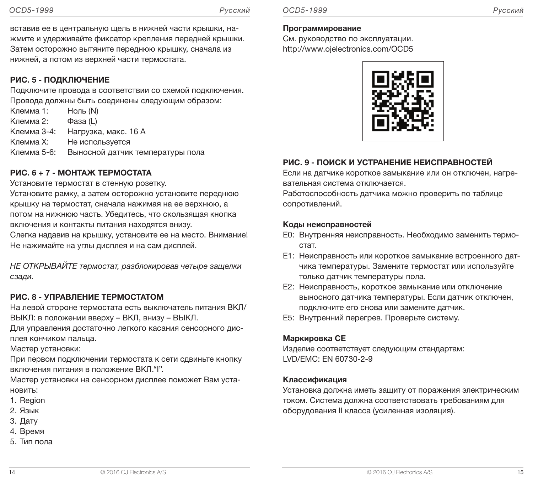вставив ее в центральную щель в нижней части крышки, нажмите и удерживайте фиксатор крепления передней крышки. Затем осторожно вытяните переднюю крышку, сначала из нижней, а потом из верхней части термостата.

#### РИС. 5 - ПОДКЛЮЧЕНИЕ

Подключите провода в соответствии со схемой подключения. Провода должны быть соединены следующим образом:

Клемма 1: Ноль (N) Клемма 2: Фаза (L) Клемма 3-4: Нагрузка, макс. 16 A Клемма X: Не используется Клемма 5-6: Выносной датчик температуры пола

#### РИС. 6 + 7 - МОНТАЖ ТЕРМОСТАТА

Установите термостат в стенную розетку.

Установите рамку, а затем осторожно установите переднюю крышку на термостат, сначала нажимая на ее верхнюю, а потом на нижнюю часть. Убедитесь, что скользящая кнопка включения и контакты питания находятся внизу. Слегка надавив на крышку, установите ее на место. Внимание!

Не нажимайте на углы дисплея и на сам дисплей.

НЕ ОТКРЫВАЙТЕ термостат, разблокировав четыре защелки сзади.

## РИС. 8 - УПРАВЛЕНИЕ ТЕРМОСТАТОМ

На левой стороне термостата есть выключатель питания ВКЛ/ ВЫКЛ: в положении вверху – ВКЛ, внизу – ВЫКЛ.

Для управления достаточно легкого касания сенсорного дисплея кончиком пальца.

Мастер установки:

При первом подключении термостата к сети сдвиньте кнопку включения питания в положение ВКЛ."I".

Мастер установки на сенсорном дисплее поможет Вам установить:

- 1. Region
- 2. Язык
- 3. Дату
- 4. Время
- 5. Тип пола

См. руководство по эксплуатации. http://www.ojelectronics.com/OCD5



#### РИС. 9 - ПОИСК И УСТРАНЕНИЕ НЕИСПРАВНОСТЕЙ

Если на датчике короткое замыкание или он отключен, нагревательная система отключается.

Работоспособность датчика можно проверить по таблице сопротивлений.

#### Коды неисправностей

- E0: Внутренняя неисправность. Необходимо заменить термостат.
- E1: Неисправность или короткое замыкание встроенного датчика температуры. Замените термостат или используйте только датчик температуры пола.
- E2: Неисправность, короткое замыкание или отключение выносного датчика температуры. Если датчик отключен, подключите его снова или замените датчик.
- E5: Внутренний перегрев. Проверьте систему.

#### Маркировка CE

Изделие соответствует следующим стандартам: LVD/EMC: EN 60730-2-9

#### Классификация

Установка должна иметь защиту от поражения электрическим током. Система должна соответствовать требованиям для оборудования II класса (усиленная изоляция).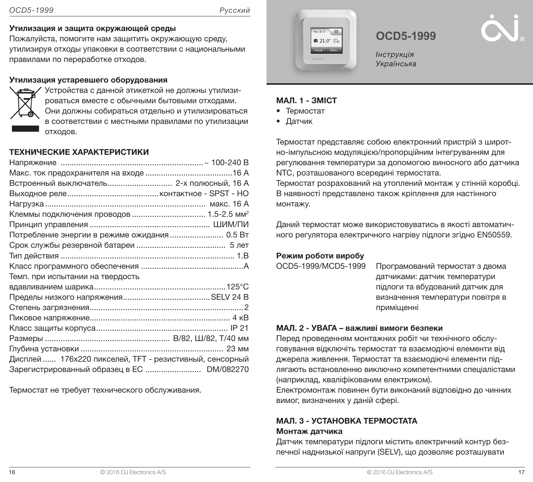#### Утилизация и защита окружающей среды

Пожалуйста, помогите нам защитить окружающую среду, утилизируя отходы упаковки в соответствии с национальными правилами по переработке отходов.

#### Утилизация устаревшего оборудования



Устройства с данной этикеткой не должны утилизироваться вместе с обычными бытовыми отходами. Они должны собираться отдельно и утилизироваться в соответствии с местными правилами по утилизации отходов.

#### ТЕХНИЧЕСКИЕ ХАРАКТЕРИСТИКИ

| Встроенный выключатель 2-х полюсный, 16 А               |  |
|---------------------------------------------------------|--|
|                                                         |  |
|                                                         |  |
|                                                         |  |
|                                                         |  |
| Потребление энергии в режиме ожидания 0.5 Вт            |  |
|                                                         |  |
|                                                         |  |
|                                                         |  |
| Темп. при испытании на твердость                        |  |
|                                                         |  |
|                                                         |  |
|                                                         |  |
|                                                         |  |
|                                                         |  |
|                                                         |  |
|                                                         |  |
| Дисплей  176х220 пикселей, ТFT - резистивный, сенсорный |  |
| Зарегистрированный образец в ЕС  DM/082270              |  |

Термостат не требует технического обслуживания.



## **OCD5-1999**

Українська

#### МАЛ. 1 - ЗМІСТ

- Термостат
- Датчик

монтажу.

Термостат представляє собою електронний пристрій з широтно-імпульсною модуляцією/пропорційним інтегруванням для регулювання температури за допомогою виносного або датчика NTC, розташованого всередині термостата. Термостат розрахований на утоплений монтаж у стінній коробці. В наявності представлено також кріплення для настінного

Даний термостат може використовуватись в якості автоматичного регулятора електричного нагріву підлоги згідно EN50559.

#### Режим роботи виробу

|  | OCD5-1999/MCD5-1999 |
|--|---------------------|
|--|---------------------|

Програмований термостат з двома датчиками: датчик температури підлоги та вбудований датчик для визначення температури повітря в приміщенні

#### МАЛ. 2 - УВАГА – важливі вимоги безпеки

Перед проведенням монтажних робіт чи технічного обслуговування відключіть термостат та взаємодіючі елементи від джерела живлення. Термостат та взаємодіючі елементи підлягають встановленню виключно компетентними спеціалістами (наприклад, кваліфікованим електриком).

Електромонтаж повинен бути виконаний відповідно до чинних вимог, визначених у даній сфері.

#### МАЛ. 3 - УСТАНОВКА ТЕРМОСТАТА Монтаж датчика

Датчик температури підлоги містить електричний контур безпечної наднизької напруги (SELV), що дозволяє розташувати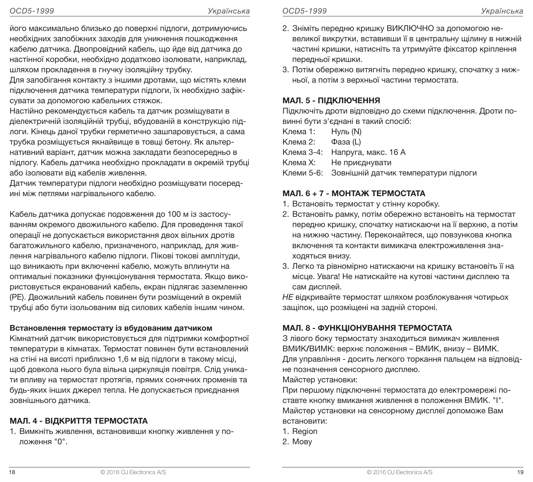його максимально близько до поверхні підлоги, дотримуючись необхідних запобіжних заходів для уникнення пошкодження кабелю датчика. Двопровідний кабель, що йде від датчика до настінної коробки, необхідно додатково ізолювати, наприклад, шляхом прокладення в гнучку ізоляційну трубку.

Для запобігання контакту з іншими дротами, що містять клеми підключення датчика температури підлоги, їх необхідно зафіксувати за допомогою кабельних стяжок.

Настійно рекомендується кабель та датчик розміщувати в діелектричній ізоляційній трубці, вбудованій в конструкцію підлоги. Кінець даної трубки герметично зашпаровується, а сама трубка розміщується якнайвище в товщі бетону. Як альтернативний варіант, датчик можна закладати безпосередньо в підлогу. Кабель датчика необхідно прокладати в окремій трубці або ізолювати від кабелів живлення.

Датчик температури підлоги необхідно розміщувати посередині між петлями нагрівального кабелю.

Кабель датчика допускає подовження до 100 м із застосуванням окремого двожильного кабелю. Для проведення такої операції не допускається використання двох вільних дротів багатожильного кабелю, призначеного, наприклад, для живлення нагрівального кабелю підлоги. Пікові токові амплітуди, що виникають при включенні кабелю, можуть вплинути на оптимальні показники функціонування термостата. Якщо використовується екранований кабель, екран підлягає заземленню (PE). Двожильний кабель повинен бути розміщений в окремій трубці або бути ізольованим від силових кабелів іншим чином.

#### Встановлення термостату із вбудованим датчиком

Кімнатний датчик використовується для підтримки комфортної температури в кімнатах. Термостат повинен бути встановлений на стіні на висоті приблизно 1,6 м від підлоги в такому місці, щоб довкола нього була вільна циркуляція повітря. Слід уникати впливу на термостат протягів, прямих сонячних променів та будь-яких інших джерел тепла. Не допускається приєднання зовнішнього датчика.

## МАЛ. 4 - ВІДКРИТТЯ ТЕРМОСТАТА

1. Вимкніть живлення, встановивши кнопку живлення у положення "0".

- 2. Зніміть передню кришку ВИКЛЮЧНО за допомогою невеликої викрутки, вставивши її в центральну щілину в нижній частині кришки, натисніть та утримуйте фіксатор кріплення передньої кришки.
- 3. Потім обережно витягніть передню кришку, спочатку з нижньої, а потім з верхньої частини термостата.

### МАЛ. 5 - ПІДКЛЮЧЕННЯ

Підключіть дроти відповідно до схеми підключення. Дроти повинні бути з'єднані в такий спосіб:

- Клема 1: Нуль (N)
- Клема 2: Фаза (L)
- Клема 3-4: Напруга, макс. 16 A
- Клема X: Не приєднувати
- Клеми 5-6: Зовнішній датчик температури підлоги

## МАЛ. 6 + 7 - МОНТАЖ ТЕРМОСТАТА

- 1. Встановіть термостат у стінну коробку.
- 2. Встановіть рамку, потім обережно встановіть на термостат передню кришку, спочатку натискаючи на її верхню, а потім на нижню частину. Переконайтеся, що повзункова кнопка включення та контакти вимикача електроживлення знаходяться внизу.
- 3. Легко та рівномірно натискаючи на кришку встановіть її на місце. Увага! Не натискайте на кутові частини дисплею та сам дисплей.

НЕ відкривайте термостат шляхом розблокування чотирьох защіпок, що розміщені на задній стороні.

## МАЛ. 8 - ФУНКЦІОНУВАННЯ ТЕРМОСТАТА

З лівого боку термостату знаходиться вимикач живлення ВМИК/ВИМК: верхнє положення – ВМИК, внизу – ВИМК. Для управління - досить легкого торкання пальцем на відповідне позначення сенсорного дисплею.

Майстер установки:

При першому підключенні термостата до електромережі поставте кнопку вмикання живлення в положення ВМИК. "I". Майстер установки на сенсорному дисплеї допоможе Вам встановити:

- 1. Region
- 2. Мову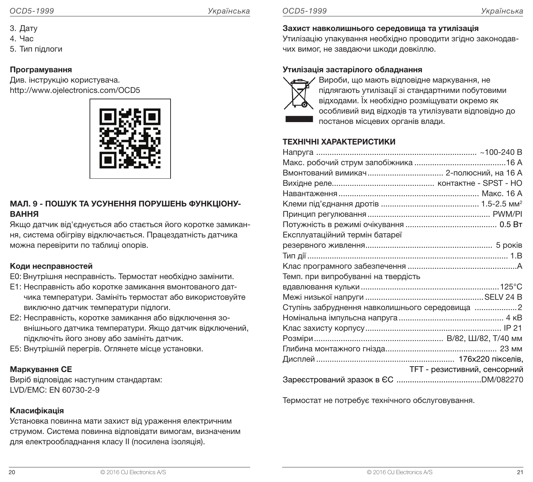- 3. Дату
- 4. Час
- 5. Тип підлоги

#### Програмування

Див. інструкцію користувача. http://www.ojelectronics.com/OCD5



#### МАЛ. 9 - ПОШУК ТА УСУНЕННЯ ПОРУШЕНЬ ФУНКЦІОНУ-ВАННЯ

Якщо датчик від'єднується або стається його коротке замикання, система обігріву відключається. Працездатність датчика можна перевірити по таблиці опорів.

#### Коди несправностей

- E0: Внутрішня несправність. Термостат необхідно замінити.
- E1: Несправність або коротке замикання вмонтованого датчика температури. Замініть термостат або використовуйте виключно датчик температури підлоги.
- E2: Несправність, коротке замикання або відключення зовнішнього датчика температури. Якщо датчик відключений, підключіть його знову або замініть датчик.
- E5: Внутрішній перегрів. Оглянете місце установки.

#### Маркування СЕ

Виріб відповідає наступним стандартам: LVD/EMC: EN 60730-2-9

#### Класифікація

Установка повинна мати захист від ураження електричним струмом. Система повинна відповідати вимогам, визначеним для електрообладнання класу II (посилена ізоляція).

#### Захист навколишнього середовища та утилізація

Утилізацію упакування необхідно проводити згідно законодавчих вимог, не завдаючи шкоди довкіллю.

#### Утилізація застарілого обладнання



Вироби, що мають відповідне маркування, не підлягають утилізації зі стандартними побутовими відходами. Їх необхідно розміщувати окремо як особливий вид відходів та утилізувати відповідно до постанов місцевих органів влади.

#### ТЕХНІЧНІ ХАРАКТЕРИСТИКИ

| Вмонтований вимикач 2-полюсний, на 16 А         |                                     |
|-------------------------------------------------|-------------------------------------|
|                                                 |                                     |
|                                                 |                                     |
|                                                 |                                     |
|                                                 |                                     |
|                                                 |                                     |
| Експлуатаційний термін батареї                  |                                     |
|                                                 |                                     |
|                                                 |                                     |
|                                                 |                                     |
| Темп. при випробуванні на твердість             |                                     |
|                                                 |                                     |
|                                                 |                                     |
| Ступінь забруднення навколишнього середовища  2 |                                     |
|                                                 |                                     |
|                                                 |                                     |
|                                                 |                                     |
|                                                 |                                     |
|                                                 |                                     |
|                                                 | <b>ТFT - резистивний, сенсорний</b> |
|                                                 |                                     |

Термостат не потребує технічного обслуговування.